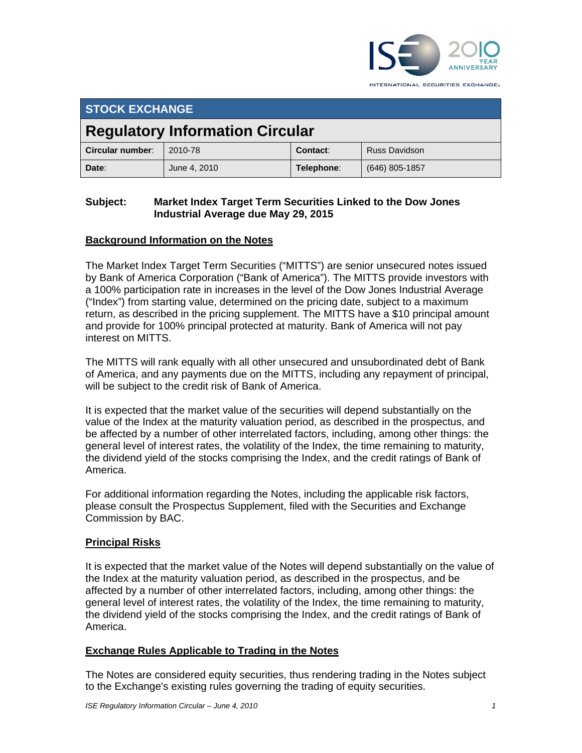

INTERNATIONAL SECURITIES EXCHANGE.

# **STOCK EXCHANGE**

# **Regulatory Information Circular**

| Circular number: | 2010-78      | Contact:   | <b>Russ Davidson</b> |
|------------------|--------------|------------|----------------------|
| Date:            | June 4, 2010 | Telephone∶ | (646) 805-1857       |

#### **Subject: Market Index Target Term Securities Linked to the Dow Jones Industrial Average due May 29, 2015**

## **Background Information on the Notes**

The Market Index Target Term Securities ("MITTS") are senior unsecured notes issued by Bank of America Corporation ("Bank of America"). The MITTS provide investors with a 100% participation rate in increases in the level of the Dow Jones Industrial Average ("Index") from starting value, determined on the pricing date, subject to a maximum return, as described in the pricing supplement. The MITTS have a \$10 principal amount and provide for 100% principal protected at maturity. Bank of America will not pay interest on MITTS.

The MITTS will rank equally with all other unsecured and unsubordinated debt of Bank of America, and any payments due on the MITTS, including any repayment of principal, will be subject to the credit risk of Bank of America.

It is expected that the market value of the securities will depend substantially on the value of the Index at the maturity valuation period, as described in the prospectus, and be affected by a number of other interrelated factors, including, among other things: the general level of interest rates, the volatility of the Index, the time remaining to maturity, the dividend yield of the stocks comprising the Index, and the credit ratings of Bank of America.

For additional information regarding the Notes, including the applicable risk factors, please consult the Prospectus Supplement, filed with the Securities and Exchange Commission by BAC.

### **Principal Risks**

It is expected that the market value of the Notes will depend substantially on the value of the Index at the maturity valuation period, as described in the prospectus, and be affected by a number of other interrelated factors, including, among other things: the general level of interest rates, the volatility of the Index, the time remaining to maturity, the dividend yield of the stocks comprising the Index, and the credit ratings of Bank of America.

### **Exchange Rules Applicable to Trading in the Notes**

The Notes are considered equity securities, thus rendering trading in the Notes subject to the Exchange's existing rules governing the trading of equity securities.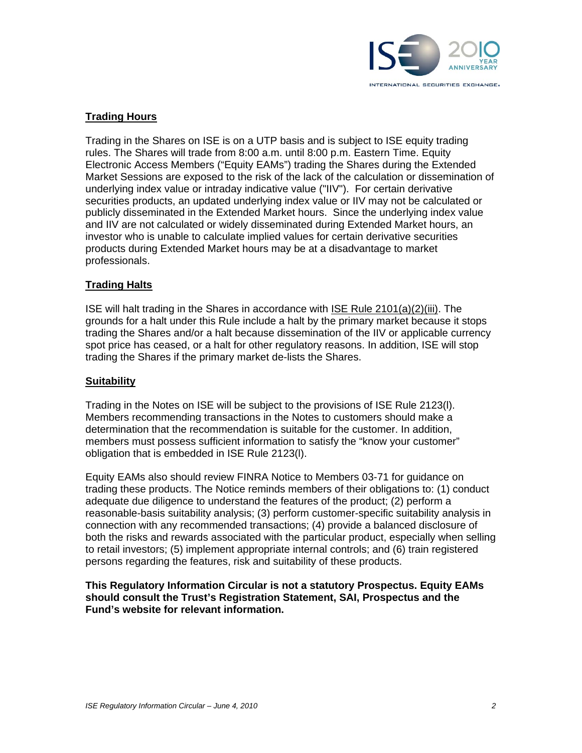

#### **Trading Hours**

Trading in the Shares on ISE is on a UTP basis and is subject to ISE equity trading rules. The Shares will trade from 8:00 a.m. until 8:00 p.m. Eastern Time. Equity Electronic Access Members ("Equity EAMs") trading the Shares during the Extended Market Sessions are exposed to the risk of the lack of the calculation or dissemination of underlying index value or intraday indicative value ("IIV"). For certain derivative securities products, an updated underlying index value or IIV may not be calculated or publicly disseminated in the Extended Market hours. Since the underlying index value and IIV are not calculated or widely disseminated during Extended Market hours, an investor who is unable to calculate implied values for certain derivative securities products during Extended Market hours may be at a disadvantage to market professionals.

#### **Trading Halts**

ISE will halt trading in the Shares in accordance with ISE Rule 2101(a)(2)(iii). The grounds for a halt under this Rule include a halt by the primary market because it stops trading the Shares and/or a halt because dissemination of the IIV or applicable currency spot price has ceased, or a halt for other regulatory reasons. In addition, ISE will stop trading the Shares if the primary market de-lists the Shares.

#### **Suitability**

Trading in the Notes on ISE will be subject to the provisions of ISE Rule 2123(l). Members recommending transactions in the Notes to customers should make a determination that the recommendation is suitable for the customer. In addition, members must possess sufficient information to satisfy the "know your customer" obligation that is embedded in ISE Rule 2123(l).

Equity EAMs also should review FINRA Notice to Members 03-71 for guidance on trading these products. The Notice reminds members of their obligations to: (1) conduct adequate due diligence to understand the features of the product; (2) perform a reasonable-basis suitability analysis; (3) perform customer-specific suitability analysis in connection with any recommended transactions; (4) provide a balanced disclosure of both the risks and rewards associated with the particular product, especially when selling to retail investors; (5) implement appropriate internal controls; and (6) train registered persons regarding the features, risk and suitability of these products.

**This Regulatory Information Circular is not a statutory Prospectus. Equity EAMs should consult the Trust's Registration Statement, SAI, Prospectus and the Fund's website for relevant information.**